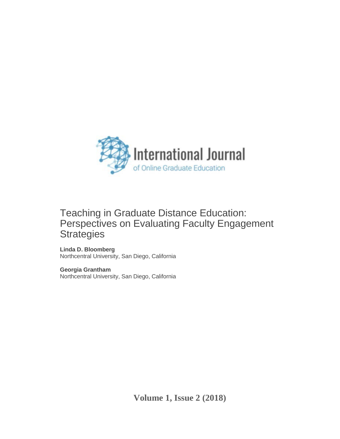

# Teaching in Graduate Distance Education: Perspectives on Evaluating Faculty Engagement **Strategies**

**Linda D. Bloomberg** Northcentral University, San Diego, California

**Georgia Grantham** Northcentral University, San Diego, California

**Volume 1, Issue 2 (2018)**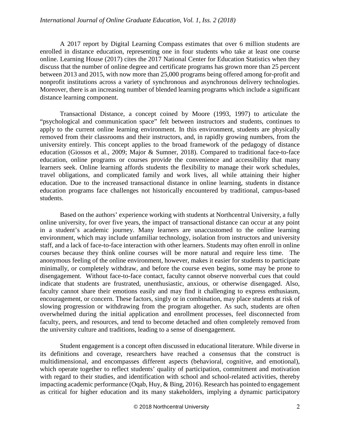A 2017 report by Digital Learning Compass estimates that over 6 million students are enrolled in distance education, representing one in four students who take at least one course online. Learning House (2017) cites the 2017 National Center for Education Statistics when they discuss that the number of online degree and certificate programs has grown more than 25 percent between 2013 and 2015, with now more than 25,000 programs being offered among for-profit and nonprofit institutions across a variety of synchronous and asynchronous delivery technologies. Moreover, there is an increasing number of blended learning programs which include a significant distance learning component.

Transactional Distance, a concept coined by Moore (1993, 1997) to articulate the "psychological and communication space" felt between instructors and students, continues to apply to the current online learning environment. In this environment, students are physically removed from their classrooms and their instructors, and, in rapidly growing numbers, from the university entirely. This concept applies to the broad framework of the pedagogy of distance education (Giossos et al., 2009; Major & Sumner, 2018). Compared to traditional face-to-face education, online programs or courses provide the convenience and accessibility that many learners seek. Online learning affords students the flexibility to manage their work schedules, travel obligations, and complicated family and work lives, all while attaining their higher education. Due to the increased transactional distance in online learning, students in distance education programs face challenges not historically encountered by traditional, campus-based students.

Based on the authors' experience working with students at Northcentral University, a fully online university, for over five years, the impact of transactional distance can occur at any point in a student's academic journey. Many learners are unaccustomed to the online learning environment, which may include unfamiliar technology, isolation from instructors and university staff, and a lack of face-to-face interaction with other learners. Students may often enroll in online courses because they think online courses will be more natural and require less time. The anonymous feeling of the online environment, however, makes it easier for students to participate minimally, or completely withdraw, and before the course even begins, some may be prone to disengagement. Without face-to-face contact, faculty cannot observe nonverbal cues that could indicate that students are frustrated, unenthusiastic, anxious, or otherwise disengaged. Also, faculty cannot share their emotions easily and may find it challenging to express enthusiasm, encouragement, or concern. These factors, singly or in combination, may place students at risk of slowing progression or withdrawing from the program altogether. As such, students are often overwhelmed during the initial application and enrollment processes, feel disconnected from faculty, peers, and resources, and tend to become detached and often completely removed from the university culture and traditions, leading to a sense of disengagement.

Student engagement is a concept often discussed in educational literature. While diverse in its definitions and coverage, researchers have reached a consensus that the construct is multidimensional, and encompasses different aspects (behavioral, cognitive, and emotional), which operate together to reflect students' quality of participation, commitment and motivation with regard to their studies, and identification with school and school-related activities, thereby impacting academic performance (Oqab, Huy, & Bing, 2016). Research has pointed to engagement as critical for higher education and its many stakeholders, implying a dynamic participatory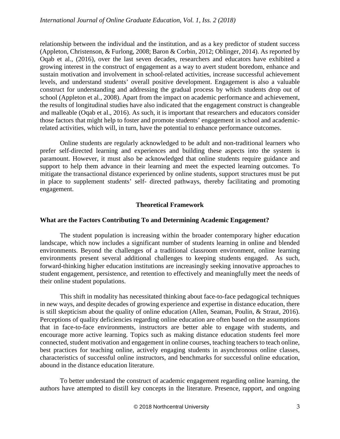relationship between the individual and the institution, and as a key predictor of student success (Appleton, Christenson, & Furlong, 2008; Baron & Corbin, 2012; Oblinger, 2014). As reported by Oqab et al., (2016), over the last seven decades, researchers and educators have exhibited a growing interest in the construct of engagement as a way to avert student boredom, enhance and sustain motivation and involvement in school-related activities, increase successful achievement levels, and understand students' overall positive development. Engagement is also a valuable construct for understanding and addressing the gradual process by which students drop out of school (Appleton et al., 2008). Apart from the impact on academic performance and achievement, the results of longitudinal studies have also indicated that the engagement construct is changeable and malleable (Oqab et al., 2016). As such, it is important that researchers and educators consider those factors that might help to foster and promote students' engagement in school and academicrelated activities, which will, in turn, have the potential to enhance performance outcomes.

Online students are regularly acknowledged to be adult and non-traditional learners who prefer self-directed learning and experiences and building these aspects into the system is paramount. However, it must also be acknowledged that online students require guidance and support to help them advance in their learning and meet the expected learning outcomes. To mitigate the transactional distance experienced by online students, support structures must be put in place to supplement students' self- directed pathways, thereby facilitating and promoting engagement.

## **Theoretical Framework**

## **What are the Factors Contributing To and Determining Academic Engagement?**

The student population is increasing within the broader contemporary higher education landscape, which now includes a significant number of students learning in online and blended environments. Beyond the challenges of a traditional classroom environment, online learning environments present several additional challenges to keeping students engaged. As such, forward-thinking higher education institutions are increasingly seeking innovative approaches to student engagement, persistence, and retention to effectively and meaningfully meet the needs of their online student populations.

This shift in modality has necessitated thinking about face-to-face pedagogical techniques in new ways, and despite decades of growing experience and expertise in distance education, there is still skepticism about the quality of online education (Allen, Seaman, Poulin, & Straut, 2016). Perceptions of quality deficiencies regarding online education are often based on the assumptions that in face-to-face environments, instructors are better able to engage with students, and encourage more active learning. Topics such as making distance education students feel more connected, student motivation and engagement in online courses, teaching teachers to teach online, best practices for teaching online, actively engaging students in asynchronous online classes, characteristics of successful online instructors, and benchmarks for successful online education, abound in the distance education literature.

To better understand the construct of academic engagement regarding online learning, the authors have attempted to distill key concepts in the literature. Presence, rapport, and ongoing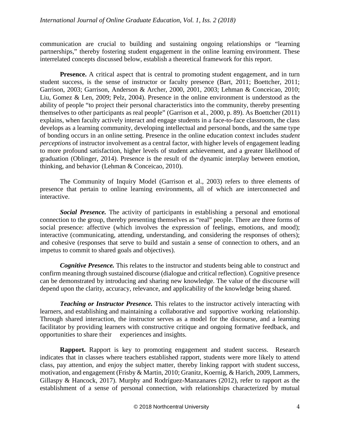communication are crucial to building and sustaining ongoing relationships or "learning partnerships," thereby fostering student engagement in the online learning environment. These interrelated concepts discussed below, establish a theoretical framework for this report.

**Presence.** A critical aspect that is central to promoting student engagement, and in turn student success, is the sense of instructor or faculty presence (Bart, 2011; Boettcher, 2011; Garrison, 2003; Garrison, Anderson & Archer, 2000, 2001, 2003; Lehman & Conceicao, 2010; Liu, Gomez & Len, 2009; Pelz, 2004). Presence in the online environment is understood as the ability of people "to project their personal characteristics into the community, thereby presenting themselves to other participants as real people" (Garrison et al., 2000, p. 89). As Boettcher (2011) explains, when faculty actively interact and engage students in a face-to-face classroom, the class develops as a learning community, developing intellectual and personal bonds, and the same type of bonding occurs in an online setting. Presence in the online education context includes *student perceptions* of instructor involvement as a central factor, with higher levels of engagement leading to more profound satisfaction, higher levels of student achievement, and a greater likelihood of graduation (Oblinger, 2014). Presence is the result of the dynamic interplay between emotion, thinking, and behavior (Lehman & Conceicao, 2010).

The Community of Inquiry Model (Garrison et al., 2003) refers to three elements of presence that pertain to online learning environments, all of which are interconnected and interactive.

*Social Presence.* The activity of participants in establishing a personal and emotional connection to the group, thereby presenting themselves as "real" people. There are three forms of social presence: affective (which involves the expression of feelings, emotions, and mood); interactive (communicating, attending, understanding, and considering the responses of others); and cohesive (responses that serve to build and sustain a sense of connection to others, and an impetus to commit to shared goals and objectives).

*Cognitive Presence.* This relates to the instructor and students being able to construct and confirm meaning through sustained discourse (dialogue and critical reflection). Cognitive presence can be demonstrated by introducing and sharing new knowledge. The value of the discourse will depend upon the clarity, accuracy, relevance, and applicability of the knowledge being shared.

*Teaching or Instructor Presence.* This relates to the instructor actively interacting with learners, and establishing and maintaining a collaborative and supportive working relationship. Through shared interaction, the instructor serves as a model for the discourse, and a learning facilitator by providing learners with constructive critique and ongoing formative feedback, and opportunities to share their experiences and insights.

**Rapport.** Rapport is key to promoting engagement and student success. Research indicates that in classes where teachers established rapport, students were more likely to attend class, pay attention, and enjoy the subject matter, thereby linking rapport with student success, motivation, and engagement (Frisby & Martin, 2010; Granitz, Koernig, & Harich, 2009, Lammers, Gillaspy & Hancock, 2017). Murphy and Rodríguez-Manzanares (2012), refer to rapport as the establishment of a sense of personal connection, with relationships characterized by mutual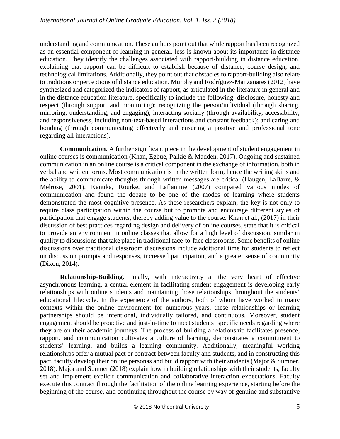understanding and communication. These authors point out that while rapport has been recognized as an essential component of learning in general, less is known about its importance in distance education. They identify the challenges associated with rapport-building in distance education, explaining that rapport can be difficult to establish because of distance, course design, and technological limitations. Additionally, they point out that obstacles to rapport-building also relate to traditions or perceptions of distance education. Murphy and Rodríguez-Manzanares (2012) have synthesized and categorized the indicators of rapport, as articulated in the literature in general and in the distance education literature, specifically to include the following: disclosure, honesty and respect (through support and monitoring); recognizing the person/individual (through sharing, mirroring, understanding, and engaging); interacting socially (through availability, accessibility, and responsiveness, including non-text-based interactions and constant feedback); and caring and bonding (through communicating effectively and ensuring a positive and professional tone regarding all interactions).

**Communication.** A further significant piece in the development of student engagement in online courses is communication (Khan, Egbue, Palkie & Madden, 2017). Ongoing and sustained communication in an online course is a critical component in the exchange of information, both in verbal and written forms. Most communication is in the written form, hence the writing skills and the ability to communicate thoughts through written messages are critical (Haugen, LaBarre,  $\&$ Melrose, 2001). Kanuka, Rourke, and Laflamme (2007) compared various modes of communication and found the debate to be one of the modes of learning where students demonstrated the most cognitive presence. As these researchers explain, the key is not only to require class participation within the course but to promote and encourage different styles of participation that engage students, thereby adding value to the course. Khan et al., (2017) in their discussion of best practices regarding design and delivery of online courses, state that it is critical to provide an environment in online classes that allow for a high level of discussion, similar in quality to discussions that take place in traditional face-to-face classrooms. Some benefits of online discussions over traditional classroom discussions include additional time for students to reflect on discussion prompts and responses, increased participation, and a greater sense of community (Dixon, 2014).

**Relationship-Building.** Finally, with interactivity at the very heart of effective asynchronous learning, a central element in facilitating student engagement is developing early relationships with online students and maintaining those relationships throughout the students' educational lifecycle. In the experience of the authors, both of whom have worked in many contexts within the online environment for numerous years, these relationships or learning partnerships should be intentional, individually tailored, and continuous. Moreover, student engagement should be proactive and just-in-time to meet students' specific needs regarding where they are on their academic journeys. The process of building a relationship facilitates presence, rapport, and communication cultivates a culture of learning, demonstrates a commitment to students' learning, and builds a learning community. Additionally, meaningful working relationships offer a mutual pact or contract between faculty and students, and in constructing this pact, faculty develop their online personas and build rapport with their students (Major & Sumner, 2018). Major and Sumner (2018) explain how in building relationships with their students, faculty set and implement explicit communication and collaborative interaction expectations. Faculty execute this contract through the facilitation of the online learning experience, starting before the beginning of the course, and continuing throughout the course by way of genuine and substantive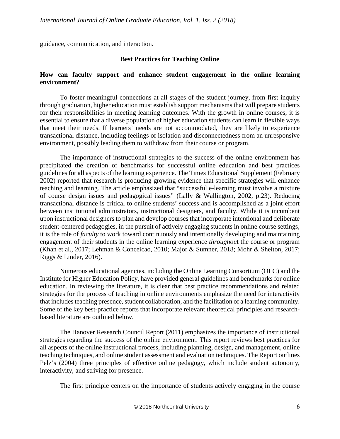guidance, communication, and interaction.

## **Best Practices for Teaching Online**

## **How can faculty support and enhance student engagement in the online learning environment?**

To foster meaningful connections at all stages of the student journey, from first inquiry through graduation, higher education must establish support mechanisms that will prepare students for their responsibilities in meeting learning outcomes. With the growth in online courses, it is essential to ensure that a diverse population of higher education students can learn in flexible ways that meet their needs. If learners' needs are not accommodated, they are likely to experience transactional distance, including feelings of isolation and disconnectedness from an unresponsive environment, possibly leading them to withdraw from their course or program.

The importance of instructional strategies to the success of the online environment has precipitated the creation of benchmarks for successful online education and best practices guidelines for all aspects of the learning experience. The Times Educational Supplement (February 2002) reported that research is producing growing evidence that specific strategies will enhance teaching and learning. The article emphasized that "successful e-learning must involve a mixture of course design issues and pedagogical issues" (Lally & Wallington, 2002, p.23). Reducing transactional distance is critical to online students' success and is accomplished as a joint effort between institutional administrators, instructional designers, and faculty. While it is incumbent upon instructional designers to plan and develop courses that incorporate intentional and deliberate student-centered pedagogies, in the pursuit of actively engaging students in online course settings, it is the role of *faculty* to work toward continuously and intentionally developing and maintaining engagement of their students in the online learning experience *throughou*t the course or program (Khan et al., 2017; Lehman & Conceicao, 2010; Major & Sumner, 2018; Mohr & Shelton, 2017; Riggs & Linder, 2016).

Numerous educational agencies, including the Online Learning Consortium (OLC) and the Institute for Higher Education Policy, have provided general guidelines and benchmarks for online education. In reviewing the literature, it is clear that best practice recommendations and related strategies for the process of teaching in online environments emphasize the need for interactivity that includes teaching presence, student collaboration, and the facilitation of a learning community. Some of the key best-practice reports that incorporate relevant theoretical principles and researchbased literature are outlined below.

The Hanover Research Council Report (2011) emphasizes the importance of instructional strategies regarding the success of the online environment. This report reviews best practices for all aspects of the online instructional process, including planning, design, and management, online teaching techniques, and online student assessment and evaluation techniques. The Report outlines Pelz's (2004) three principles of effective online pedagogy, which include student autonomy, interactivity, and striving for presence.

The first principle centers on the importance of students actively engaging in the course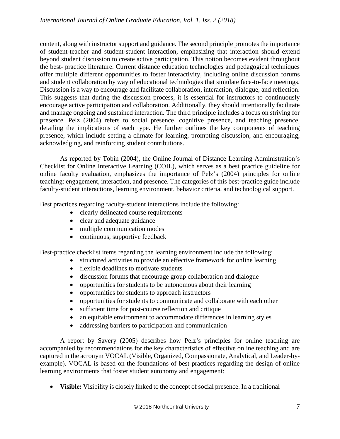content, along with instructor support and guidance. The second principle promotes the importance of student-teacher and student-student interaction, emphasizing that interaction should extend beyond student discussion to create active participation. This notion becomes evident throughout the best- practice literature. Current distance education technologies and pedagogical techniques offer multiple different opportunities to foster interactivity, including online discussion forums and student collaboration by way of educational technologies that simulate face-to-face meetings. Discussion is a way to encourage and facilitate collaboration, interaction, dialogue, and reflection. This suggests that during the discussion process, it is essential for instructors to continuously encourage active participation and collaboration. Additionally, they should intentionally facilitate and manage ongoing and sustained interaction. The third principle includes a focus on striving for presence. Pelz (2004) refers to social presence, cognitive presence, and teaching presence, detailing the implications of each type. He further outlines the key components of teaching presence, which include setting a climate for learning, prompting discussion, and encouraging, acknowledging, and reinforcing student contributions.

As reported by Tobin (2004), the Online Journal of Distance Learning Administration's Checklist for Online Interactive Learning (COIL), which serves as a best practice guideline for online faculty evaluation, emphasizes the importance of Pelz's (2004) principles for online teaching: engagement, interaction, and presence. The categories of this best-practice guide include faculty-student interactions, learning environment, behavior criteria, and technological support.

Best practices regarding faculty-student interactions include the following:

- clearly delineated course requirements
- clear and adequate guidance
- multiple communication modes
- continuous, supportive feedback

Best-practice checklist items regarding the learning environment include the following:

- structured activities to provide an effective framework for online learning
- flexible deadlines to motivate students
- discussion forums that encourage group collaboration and dialogue
- opportunities for students to be autonomous about their learning
- opportunities for students to approach instructors
- opportunities for students to communicate and collaborate with each other
- sufficient time for post-course reflection and critique
- an equitable environment to accommodate differences in learning styles
- addressing barriers to participation and communication

A report by Savery (2005) describes how Pelz's principles for online teaching are accompanied by recommendations for the key characteristics of effective online teaching and are captured in the acronym VOCAL (Visible, Organized, Compassionate, Analytical, and Leader-byexample). VOCAL is based on the foundations of best practices regarding the design of online learning environments that foster student autonomy and engagement:

• **Visible:** Visibility is closely linked to the concept of social presence. In a traditional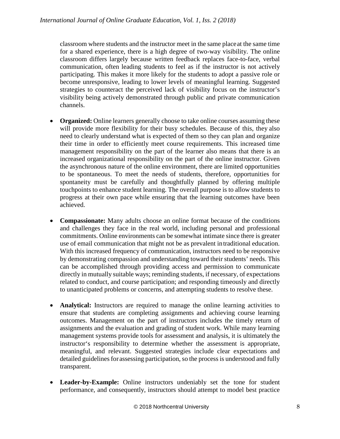classroom where students and the instructor meet in the same placeat the same time for a shared experience, there is a high degree of two-way visibility. The online classroom differs largely because written feedback replaces face-to-face, verbal communication, often leading students to feel as if the instructor is not actively participating. This makes it more likely for the students to adopt a passive role or become unresponsive, leading to lower levels of meaningful learning. Suggested strategies to counteract the perceived lack of visibility focus on the instructor's visibility being actively demonstrated through public and private communication channels.

- **Organized:** Online learners generally choose to take online courses assuming these will provide more flexibility for their busy schedules. Because of this, they also need to clearly understand what is expected of them so they can plan and organize their time in order to efficiently meet course requirements. This increased time management responsibility on the part of the learner also means that there is an increased organizational responsibility on the part of the online instructor. Given the asynchronous nature of the online environment, there are limited opportunities to be spontaneous. To meet the needs of students, therefore, opportunities for spontaneity must be carefully and thoughtfully planned by offering multiple touchpoints to enhance student learning. The overall purpose is to allow students to progress at their own pace while ensuring that the learning outcomes have been achieved.
- **Compassionate:** Many adults choose an online format because of the conditions and challenges they face in the real world, including personal and professional commitments. Online environments can be somewhat intimate since there is greater use of email communication that might not be as prevalent intraditional education. With this increased frequency of communication, instructors need to be responsive by demonstrating compassion and understanding toward their students' needs. This can be accomplished through providing access and permission to communicate directly in mutually suitable ways; reminding students, if necessary, of expectations related to conduct, and course participation; and responding timeously and directly to unanticipated problems or concerns, and attempting students to resolve these.
- **Analytical:** Instructors are required to manage the online learning activities to ensure that students are completing assignments and achieving course learning outcomes. Management on the part of instructors includes the timely return of assignments and the evaluation and grading of student work. While many learning management systems provide tools for assessment and analysis, it is ultimately the instructor's responsibility to determine whether the assessment is appropriate, meaningful, and relevant. Suggested strategies include clear expectations and detailed guidelines for assessing participation, so the process is understood and fully transparent.
- **Leader-by-Example:** Online instructors undeniably set the tone for student performance, and consequently, instructors should attempt to model best practice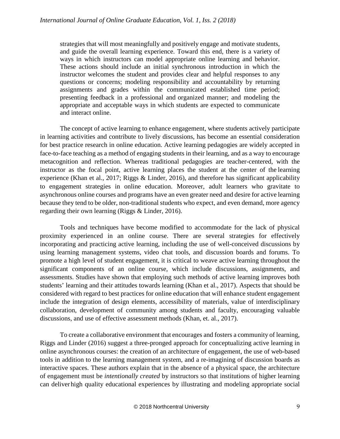strategies that will most meaningfully and positively engage and motivate students, and guide the overall learning experience. Toward this end, there is a variety of ways in which instructors can model appropriate online learning and behavior. These actions should include an initial synchronous introduction in which the instructor welcomes the student and provides clear and helpful responses to any questions or concerns; modeling responsibility and accountability by returning assignments and grades within the communicated established time period; presenting feedback in a professional and organized manner; and modeling the appropriate and acceptable ways in which students are expected to communicate and interact online.

The concept of active learning to enhance engagement, where students actively participate in learning activities and contribute to lively discussions, has become an essential consideration for best practice research in online education. Active learning pedagogies are widely accepted in face-to-face teaching as a method of engaging students in their learning, and as a way to encourage metacognition and reflection. Whereas traditional pedagogies are teacher-centered, with the instructor as the focal point, active learning places the student at the center of the learning experience (Khan et al., 2017; Riggs & Linder, 2016), and therefore has significant applicability to engagement strategies in online education. Moreover, adult learners who gravitate to asynchronous online courses and programs have an even greater need and desire for active learning because they tend to be older, non-traditional students who expect, and even demand, more agency regarding their own learning (Riggs & Linder, 2016).

Tools and techniques have become modified to accommodate for the lack of physical proximity experienced in an online course. There are several strategies for effectively incorporating and practicing active learning, including the use of well-conceived discussions by using learning management systems, video chat tools, and discussion boards and forums. To promote a high level of student engagement, it is critical to weave active learning throughout the significant components of an online course, which include discussions, assignments, and assessments. Studies have shown that employing such methods of active learning improves both students' learning and their attitudes towards learning (Khan et al., 2017). Aspects that should be considered with regard to best practices for online education that will enhance student engagement include the integration of design elements, accessibility of materials, value of interdisciplinary collaboration, development of community among students and faculty, encouraging valuable discussions, and use of effective assessment methods (Khan, et. al., 2017).

To create a collaborative environment that encourages and fosters a community of learning, Riggs and Linder (2016) suggest a three-pronged approach for conceptualizing active learning in online asynchronous courses: the creation of an architecture of engagement, the use of web-based tools in addition to the learning management system, and a re-imagining of discussion boards as interactive spaces. These authors explain that in the absence of a physical space, the architecture of engagement must be *intentionally created* by instructors so that institutions of higher learning can deliver high quality educational experiences by illustrating and modeling appropriate social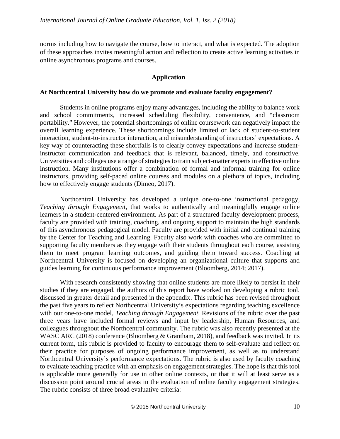norms including how to navigate the course, how to interact, and what is expected. The adoption of these approaches invites meaningful action and reflection to create active learning activities in online asynchronous programs and courses.

### **Application**

#### **At Northcentral University how do we promote and evaluate faculty engagement?**

Students in online programs enjoy many advantages, including the ability to balance work and school commitments, increased scheduling flexibility, convenience, and "classroom portability." However, the potential shortcomings of online coursework can negatively impact the overall learning experience. These shortcomings include limited or lack of student-to-student interaction, student-to-instructor interaction, and misunderstanding of instructors' expectations. A key way of counteracting these shortfalls is to clearly convey expectations and increase studentinstructor communication and feedback that is relevant, balanced, timely, and constructive. Universities and colleges use a range of strategies to train subject-matter experts in effective online instruction. Many institutions offer a combination of formal and informal training for online instructors, providing self-paced online courses and modules on a plethora of topics, including how to effectively engage students (Dimeo, 2017).

Northcentral University has developed a unique one-to-one instructional pedagogy, *Teaching through Engagement,* that works to authentically and meaningfully engage online learners in a student-centered environment. As part of a structured faculty development process, faculty are provided with training, coaching, and ongoing support to maintain the high standards of this asynchronous pedagogical model. Faculty are provided with initial and continual training by the Center for Teaching and Learning. Faculty also work with coaches who are committed to supporting faculty members as they engage with their students throughout each course, assisting them to meet program learning outcomes, and guiding them toward success. Coaching at Northcentral University is focused on developing an organizational culture that supports and guides learning for continuous performance improvement (Bloomberg, 2014; 2017).

With research consistently showing that online students are more likely to persist in their studies if they are engaged, the authors of this report have worked on developing a rubric tool, discussed in greater detail and presented in the appendix. This rubric has been revised throughout the past five years to reflect Northcentral University's expectations regarding teaching excellence with our one-to-one model, *Teaching through Engagement.* Revisions of the rubric over the past three years have included formal reviews and input by leadership, Human Resources, and colleagues throughout the Northcentral community. The rubric was also recently presented at the WASC ARC (2018) conference (Bloomberg & Grantham, 2018), and feedback was invited. In its current form, this rubric is provided to faculty to encourage them to self-evaluate and reflect on their practice for purposes of ongoing performance improvement, as well as to understand Northcentral University's performance expectations. The rubric is also used by faculty coaching to evaluate teaching practice with an emphasis on engagement strategies. The hope is that this tool is applicable more generally for use in other online contexts, or that it will at least serve as a discussion point around crucial areas in the evaluation of online faculty engagement strategies. The rubric consists of three broad evaluative criteria: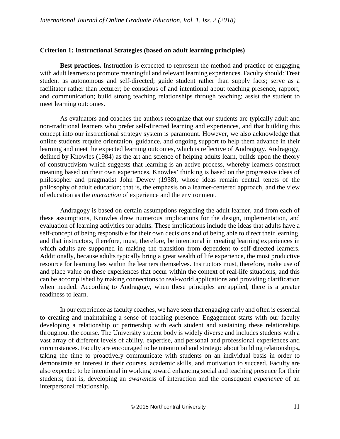### **Criterion 1: Instructional Strategies (based on adult learning principles)**

**Best practices.** Instruction is expected to represent the method and practice of engaging with adult learners to promote meaningful and relevant learning experiences. Faculty should: Treat student as autonomous and self-directed; guide student rather than supply facts; serve as a facilitator rather than lecturer; be conscious of and intentional about teaching presence, rapport, and communication; build strong teaching relationships through teaching; assist the student to meet learning outcomes.

As evaluators and coaches the authors recognize that our students are typically adult and non-traditional learners who prefer self-directed learning and experiences, and that building this concept into our instructional strategy system is paramount. However, we also acknowledge that online students require orientation, guidance, and ongoing support to help them advance in their learning and meet the expected learning outcomes, which is reflective of Andragogy. Andragogy, defined by Knowles (1984) as the art and science of helping adults learn, builds upon the theory of constructivism which suggests that learning is an active process, whereby learners construct meaning based on their own experiences. Knowles' thinking is based on the progressive ideas of philosopher and pragmatist John Dewey (1938), whose ideas remain central tenets of the philosophy of adult education; that is, the emphasis on a learner-centered approach, and the view of education as the *interaction* of experience and the environment.

Andragogy is based on certain assumptions regarding the adult learner, and from each of these assumptions, Knowles drew numerous implications for the design, implementation, and evaluation of learning activities for adults. These implications include the ideas that adults have a self-concept of being responsible for their own decisions and of being able to direct their learning, and that instructors, therefore, must, therefore, be intentional in creating learning experiences in which adults are supported in making the transition from dependent to self-directed learners. Additionally, because adults typically bring a great wealth of life experience, the most productive resource for learning lies within the learners themselves. Instructors must, therefore, make use of and place value on these experiences that occur within the context of real-life situations, and this can be accomplished by making connections to real-world applications and providing clarification when needed. According to Andragogy, when these principles are applied, there is a greater readiness to learn.

In our experience as faculty coaches, we have seen that engaging early and often is essential to creating and maintaining a sense of teaching presence. Engagement starts with our faculty developing a relationship or partnership with each student and sustaining these relationships throughout the course. The University student body is widely diverse and includes students with a vast array of different levels of ability, expertise, and personal and professional experiences and circumstances. Faculty are encouraged to be intentional and strategic about building relationships**,**  taking the time to proactively communicate with students on an individual basis in order to demonstrate an interest in their courses, academic skills[, and motivation to](https://www.usnews.com/education/online-education/articles/2016-07-25/develop-self-motivation-skills-before-starting-online-courses) succeed. Faculty are also expected to be intentional in working toward enhancing social and teaching presence for their students; that is, developing an *awareness* of interaction and the consequent *experience* of an interpersonal relationship.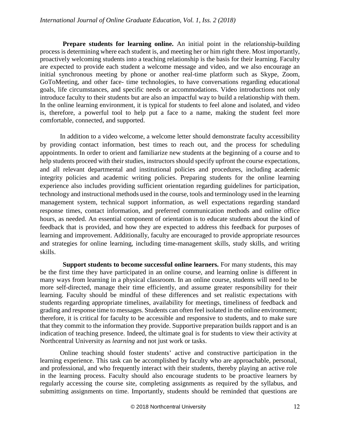**Prepare students for learning online.** An initial point in the relationship-building process is determining where each student is, and meeting her or him right there. Most importantly, proactively welcoming students into a teaching relationship is the basis for their learning. Faculty are expected to provide each student a welcome message and video, and we also encourage an initial synchronous meeting by phone or another real-time platform such as Skype, Zoom, GoToMeeting, and other face- time technologies, to have conversations regarding educational goals, life circumstances, and specific needs or accommodations. Video introductions not only introduce faculty to their students but are also an impactful way to build a relationship with them. In the online learning environment, it is typical for students to feel alone and isolated, and video is, therefore, a powerful tool to help put a face to a name, making the student feel more comfortable, connected, and supported.

In addition to a video welcome, a welcome letter should demonstrate faculty accessibility by providing contact information, best times to reach out, and the process for scheduling appointments. In order to orient and familiarize new students at the beginning of a course and to help students proceed with their studies, instructors should specify upfront the course expectations, and all relevant departmental and institutional policies and procedures, including academic integrity policies and academic writing policies. Preparing students for the online learning experience also includes providing sufficient orientation regarding guidelines for participation, technology and instructional methods used in the course, tools and terminology used in the learning management system, technical support information, as well expectations regarding standard response times, contact information, and preferred communication methods and online office hours, as needed. An essential component of orientation is to educate students about the kind of feedback that is provided, and how they are expected to address this feedback for purposes of learning and improvement. Additionally, faculty are encouraged to provide appropriate resources and strategies for online learning, including time-management skills, study skills, and writing skills.

**Support students to become successful online learners.** For many students, this may be the first time they have participated in an online course, and learning online is different in many ways from learning in a physical classroom. In an online course, students will need to be more self-directed, manage their time efficiently, and assume greater responsibility for their learning. Faculty should be mindful of these differences and set realistic expectations with students regarding appropriate timelines, availability for meetings, timeliness of feedback and grading and response time to messages. Students can often feel isolated in the online environment; therefore, it is critical for faculty to be accessible and responsive to students, and to make sure that they commit to the information they provide. Supportive preparation builds rapport and is an indication of teaching presence. Indeed, the ultimate goal is for students to view their activity at Northcentral University as *learning* and not just work or tasks.

Online teaching should foster students' active and constructive participation in the learning experience. This task can be accomplished by faculty who are approachable, personal, and professional, and who frequently interact with their students, thereby playing an active role in the learning process. Faculty should also encourage students to be proactive learners by regularly accessing the course site, completing assignments as required by the syllabus, and submitting assignments on time. Importantly, students should be reminded that questions are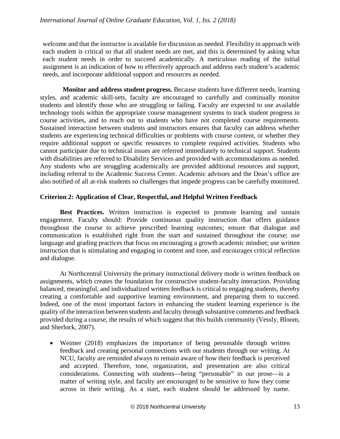welcome and that the instructor is available for discussion as needed. Flexibility in approach with each student is critical so that all student needs are met, and this is determined by asking what each student needs in order to succeed academically. A meticulous reading of the initial assignment is an indication of how to effectively approach and address each student's academic needs, and incorporate additional support and resources as needed.

**Monitor and address student progress.** Because students have different needs, learning styles, and academic skill-sets, faculty are encouraged to carefully and continually monitor students and identify those who are struggling or failing. Faculty are expected to use available technology tools within the appropriate course management systems to track student progress in course activities, and to reach out to students who have not completed course requirements. Sustained interaction between students and instructors ensures that faculty can address whether students are experiencing technical difficulties or problems with course content, or whether they require additional support or specific resources to complete required activities. Students who cannot participate due to technical issues are referred immediately to technical support. Students with disabilities are referred to Disability Services and provided with accommodations as needed. Any students who are struggling academically are provided additional resources and support, including referral to the Academic Success Center. Academic advisors and the Dean's office are also notified of all at-risk students so challenges that impede progress can be carefully monitored.

# **Criterion 2: Application of Clear, Respectful, and Helpful Written Feedback**

**Best Practices.** Written instruction is expected to promote learning and sustain engagement. Faculty should: Provide continuous quality instruction that offers guidance throughout the course to achieve prescribed learning outcomes; ensure that dialogue and communication is established right from the start and sustained throughout the course; use language and grading practices that focus on encouraging a growth academic mindset; use written instruction that is stimulating and engaging in content and tone, and encourages critical reflection and dialogue.

At Northcentral University the primary instructional delivery mode is written feedback on assignments, which creates the foundation for constructive student-faculty interaction. Providing balanced, meaningful, and individualized written feedback is critical to engaging students, thereby creating a comfortable and supportive learning environment, and preparing them to succeed. Indeed, one of the most important factors in enhancing the student learning experience is the quality of the interaction between students and faculty through substantive comments and feedback provided during a course, the results of which suggest that this builds community (Vessly, Bloom, and Sherlock, 2007).

• Weimer (2018) emphasizes the importance of being personable through written feedback and creating personal connections with our students through our writing. At NCU, faculty are reminded always to remain aware of how their feedback is perceived and accepted. Therefore, tone, organization, and presentation are also critical considerations. Connecting with students—being "personable" in our prose—is a matter of writing style, and faculty are encouraged to be sensitive to how they come across in their writing. As a start, each student should be addressed by name.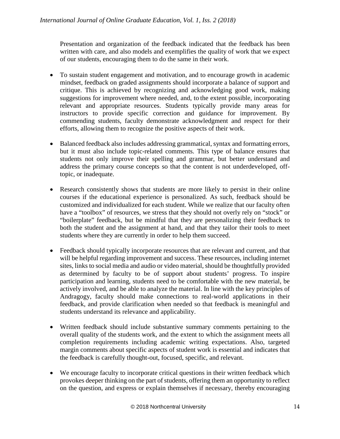Presentation and organization of the feedback indicated that the feedback has been written with care, and also models and exemplifies the quality of work that we expect of our students, encouraging them to do the same in their work.

- To sustain student engagement and motivation, and to encourage growth in academic mindset, feedback on graded assignments should incorporate a balance of support and critique. This is achieved by recognizing and acknowledging good work, making suggestions for improvement where needed, and, to the extent possible, incorporating relevant and appropriate resources. Students typically provide many areas for instructors to provide specific correction and guidance for improvement. By commending students, faculty demonstrate acknowledgment and respect for their efforts, allowing them to recognize the positive aspects of their work.
- Balanced feedback also includes addressing grammatical, syntax and formatting errors, but it must also include topic-related comments. This type of balance ensures that students not only improve their spelling and grammar, but better understand and address the primary course concepts so that the content is not underdeveloped, offtopic, or inadequate.
- Research consistently shows that students are more likely to persist in their online courses if the educational experience is personalized. As such, feedback should be customized and individualized for each student. While we realize that our faculty often have a "toolbox" of resources, we stress that they should not overly rely on "stock" or "boilerplate" feedback, but be mindful that they are personalizing their feedback to both the student and the assignment at hand, and that they tailor their tools to meet students where they are currently in order to help them succeed.
- Feedback should typically incorporate resources that are relevant and current, and that will be helpful regarding improvement and success. These resources, including internet sites, links to social media and audio or video material, should be thoughtfully provided as determined by faculty to be of support about students' progress. To inspire participation and learning, students need to be comfortable with the new material, be actively involved, and be able to analyze the material. In line with the key principles of Andragogy, faculty should make connections to real-world applications in their feedback, and provide clarification when needed so that feedback is meaningful and students understand its relevance and applicability.
- Written feedback should include substantive summary comments pertaining to the overall quality of the students work, and the extent to which the assignment meets all completion requirements including academic writing expectations. Also, targeted margin comments about specific aspects of student work is essential and indicates that the feedback is carefully thought-out, focused, specific, and relevant.
- We encourage faculty to incorporate critical questions in their written feedback which provokes deeper thinking on the part of students, offering them an opportunity to reflect on the question, and express or explain themselves if necessary, thereby encouraging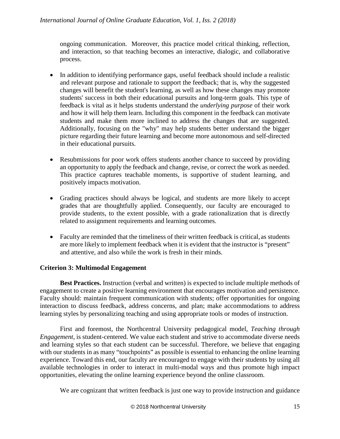ongoing communication. Moreover, this practice model critical thinking, reflection, and interaction, so that teaching becomes an interactive, dialogic, and collaborative process.

- In addition to identifying performance gaps, useful feedback should include a realistic and relevant purpose and rationale to support the feedback; that is, why the suggested changes will benefit the student's learning, as well as how these changes may promote students' success in both their educational pursuits and long-term goals. This type of feedback is vital as it helps students understand the *underlying purpose* of their work and how it will help them learn. Including this component in the feedback can motivate students and make them more inclined to address the changes that are suggested. Additionally, focusing on the "why" may help students better understand the bigger picture regarding their future learning and become more autonomous and self-directed in their educational pursuits.
- Resubmissions for poor work offers students another chance to succeed by providing an opportunity to apply the feedback and change, revise, or correct the work as needed. This practice captures teachable moments, is supportive of student learning, and positively impacts motivation.
- Grading practices should always be logical, and students are more likely to accept grades that are thoughtfully applied. Consequently, our faculty are encouraged to provide students, to the extent possible, with a grade rationalization that is directly related to assignment requirements and learning outcomes.
- Faculty are reminded that the timeliness of their written feedback is critical, as students are more likely to implement feedback when it is evident that the instructor is "present" and attentive, and also while the work is fresh in their minds.

# **Criterion 3: Multimodal Engagement**

**Best Practices.** Instruction (verbal and written) is expected to include multiple methods of engagement to create a positive learning environment that encourages motivation and persistence. Faculty should: maintain frequent communication with students; offer opportunities for ongoing interaction to discuss feedback, address concerns, and plan; make accommodations to address learning styles by personalizing teaching and using appropriate tools or modes of instruction.

First and foremost, the Northcentral University pedagogical model, *Teaching through Engagement*, is student-centered. We value each student and strive to accommodate diverse needs and learning styles so that each student can be successful. Therefore, we believe that engaging with our students in as many "touchpoints" as possible is essential to enhancing the online learning experience. Toward this end, our faculty are encouraged to engage with their students by using all available technologies in order to interact in multi-modal ways and thus promote high impact opportunities, elevating the online learning experience beyond the online classroom.

We are cognizant that written feedback is just one way to provide instruction and guidance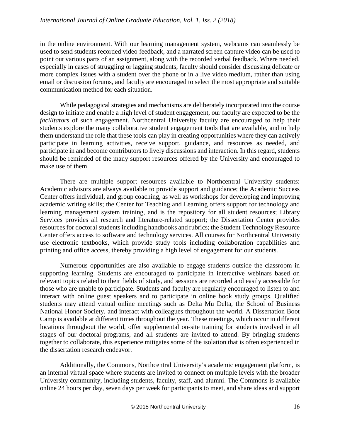in the online environment. With our learning management system, webcams can seamlessly be used to send students recorded video feedback, and a narrated screen capture video can be used to point out various parts of an assignment, along with the recorded verbal feedback. Where needed, especially in cases of struggling or lagging students, faculty should consider discussing delicate or more complex issues with a student over the phone or in a live video medium, rather than using email or discussion forums, and faculty are encouraged to select the most appropriate and suitable communication method for each situation.

While pedagogical strategies and mechanisms are deliberately incorporated into the course design to initiate and enable a high level of student engagement, our faculty are expected to be the *facilitators* of such engagement. Northcentral University faculty are encouraged to help their students explore the many collaborative student engagement tools that are available, and to help them understand the role that these tools can play in creating opportunities where they can actively participate in learning activities, receive support, guidance, and resources as needed, and participate in and become contributors to lively discussions and interaction. In this regard, students should be reminded of the many support resources offered by the University and encouraged to make use of them.

There are multiple support resources available to Northcentral University students: Academic advisors are always available to provide support and guidance; the Academic Success Center offers individual, and group coaching, as well as workshops for developing and improving academic writing skills; the Center for Teaching and Learning offers support for technology and learning management system training, and is the repository for all student resources; Library Services provides all research and literature-related support; the Dissertation Center provides resources for doctoral students including handbooks and rubrics; the Student Technology Resource Center offers access to software and technology services. All courses for Northcentral University use electronic textbooks, which provide study tools including collaboration capabilities and printing and office access, thereby providing a high level of engagement for our students.

Numerous opportunities are also available to engage students outside the classroom in supporting learning. Students are encouraged to participate in interactive webinars based on relevant topics related to their fields of study, and sessions are recorded and easily accessible for those who are unable to participate. Students and faculty are regularly encouraged to listen to and interact with online guest speakers and to participate in online book study groups. Qualified students may attend virtual online meetings such as Delta Mu Delta, the School of Business National Honor Society, and interact with colleagues throughout the world. A Dissertation Boot Camp is available at different times throughout the year. These meetings, which occur in different locations throughout the world, offer supplemental on-site training for students involved in all stages of our doctoral programs, and all students are invited to attend. By bringing students together to collaborate, this experience mitigates some of the isolation that is often experienced in the dissertation research endeavor.

Additionally, the Commons, Northcentral University's academic engagement platform, is an internal virtual space where students are invited to connect on multiple levels with the broader University community, including students, faculty, staff, and alumni. The Commons is available online 24 hours per day, seven days per week for participants to meet, and share ideas and support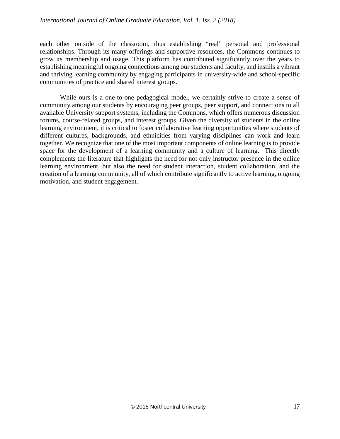## *International Journal of Online Graduate Education, Vol. 1, Iss. 2 (2018)*

each other outside of the classroom, thus establishing "real" personal and professional relationships. Through its many offerings and supportive resources, the Commons continues to grow its membership and usage. This platform has contributed significantly over the years to establishing meaningful ongoing connections among our students and faculty, and instills a vibrant and thriving learning community by engaging participants in university-wide and school-specific communities of practice and shared interest groups.

While ours is a one-to-one pedagogical model, we certainly strive to create a sense of community among our students by encouraging peer groups, peer support, and connections to all available University support systems, including the Commons, which offers numerous discussion forums, course-related groups, and interest groups. Given the diversity of students in the online learning environment, it is critical to foster collaborative learning opportunities where students of different cultures, backgrounds, and ethnicities from varying disciplines can work and learn together. We recognize that one of the most important components of online learning is to provide space for the development of a learning community and a culture of learning. This directly complements the literature that highlights the need for not only instructor presence in the online learning environment, but also the need for student interaction, student collaboration, and the creation of a learning community, all of which contribute significantly to active learning, ongoing motivation, and student engagement.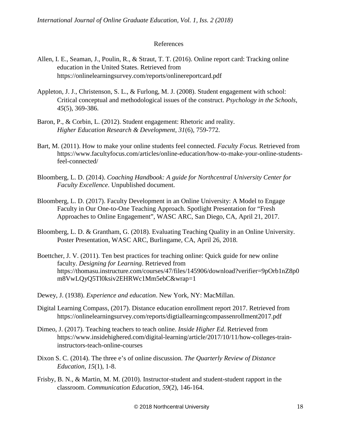#### References

- Allen, I. E., Seaman, J., Poulin, R., & Straut, T. T. (2016). Online report card: Tracking online education in the United States. Retrieved from https://onlinelearningsurvey.com/reports/onlinereportcard.pdf
- Appleton, J. J., Christenson, S. L., & Furlong, M. J. (2008). Student engagement with school: Critical conceptual and methodological issues of the construct. *Psychology in the Schools, 45*(5), 369-386.
- Baron, P., & Corbin, L. (2012). Student engagement: Rhetoric and reality. *Higher Education Research & Development*, *31*(6), 759-772.
- Bart, M. (2011). How to make your online students feel connected. *Faculty Focus.* Retrieved from https://www.facultyfocus.com/articles/online-education/how-to-make-your-online-studentsfeel-connected/
- Bloomberg, L. D. (2014). *Coaching Handbook: A guide for Northcentral University Center for Faculty Excellence*. Unpublished document.
- Bloomberg, L. D. (2017). Faculty Development in an Online University: A Model to Engage Faculty in Our One-to-One Teaching Approach. Spotlight Presentation for "Fresh Approaches to Online Engagement", WASC ARC, San Diego, CA, April 21, 2017.
- Bloomberg, L. D. & Grantham, G. (2018). Evaluating Teaching Quality in an Online University. Poster Presentation, WASC ARC, Burlingame, CA, April 26, 2018.
- Boettcher, J. V. (2011). Ten best practices for teaching online: Quick guide for new online faculty. *Designing for Learning*. Retrieved from https://thomasu.instructure.com/courses/47/files/145906/download?verifier=9pOrb1nZ8p0 m8VwLQyQ5Tl0ksiv2EHRWc1Mm5ebC&wrap=1
- Dewey, J. (1938). *Experience and education*. New York, NY: MacMillan.
- Digital Learning Compass, (2017). Distance education enrollment report 2017. Retrieved from https://onlinelearningsurvey.com/reports/digtiallearningcompassenrollment2017.pdf
- Dimeo, J. (2017). Teaching teachers to teach online. *Inside Higher Ed*. Retrieved from https://www.insidehighered.com/digital-learning/article/2017/10/11/how-colleges-traininstructors-teach-online-courses
- Dixon S. C. (2014). The three e's of online discussion. *The Quarterly Review of Distance Education*, *15*(1), 1-8.
- Frisby, B. N., & Martin, M. M. (2010). Instructor-student and student-student rapport in the classroom. *Communication Education, 59*(2), 146-164.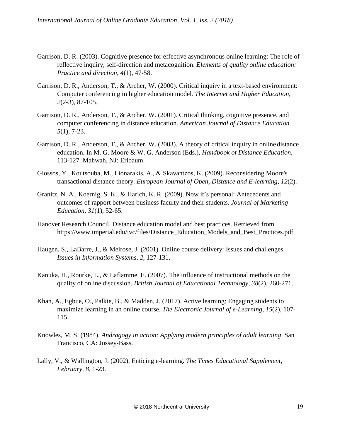- Garrison, D. R. (2003). Cognitive presence for effective asynchronous online learning: The role of reflective inquiry, self-direction and metacognition. *Elements of quality online education: Practice and direction*, *4*(1), 47-58.
- Garrison, D. R., Anderson, T., & Archer, W. (2000). Critical inquiry in a text-based [environment:](http://cde.athabascau.ca/coi_site/documents/Garrison_Anderson_Archer_Critical_Inquiry_model.pdf) Computer [conferencing](http://cde.athabascau.ca/coi_site/documents/Garrison_Anderson_Archer_Critical_Inquiry_model.pdf) in higher education model*. The Internet and Higher Education, 2*(2-3), 87-105.
- Garrison, D. R., Anderson, T., & Archer, W. (2001). Critical thinking, cognitive presence, and computer conferencing in distance education. *American Journal of Distance Education. 5*(1), 7-23.
- Garrison, D. R., Anderson, T., & Archer, W. (2003). A theory of critical inquiry in online distance education. In M. G. Moore & W. G. Anderson (Eds.), *Handbook of Distance Education,* 113-127. Mahwah, NJ: Erlbaum.
- Giossos, Y., Koutsouba, M., Lionarakis, A., & Skavantzos, K. (2009). Reconsidering Moore's transactional distance theory. *European Journal of Open, Distance and E-learning*, *12*(2).
- Granitz, N. A., Koernig, S. K., & Harich, K. R. (2009). Now it's personal: Antecedents and outcomes of rapport between business faculty and their students. *Journal of Marketing Education, 31*(1), 52-65.
- Hanover Research Council. Distance education model and best practices. Retrieved from https://www.imperial.edu/ivc/files/Distance\_Education\_Models\_and\_Best\_Practices.pdf
- Haugen, S., LaBarre, J., & Melrose, J. (2001). Online course delivery: Issues and challenges. *Issues in Information Systems*, *2,* 127-131.
- Kanuka, H., Rourke, L., & Laflamme, E. (2007). The influence of instructional methods on the quality of online discussion. *British Journal of Educational Technology*, *38*(2), 260-271.
- Khan, A., Egbue, O., Palkie, B., & Madden, J. (2017). Active learning: Engaging students to maximize learning in an online course. *The Electronic Journal of e-Learning, 15*(2), 107- 115.
- Knowles, M. S. (1984). *Andragogy in action: Applying modern principles of adult learning*. San Francisco, CA: Jossey-Bass.
- Lally, V., & Wallington, J. (2002). Enticing e-learning. *The Times Educational Supplement, February*, *8*, 1-23.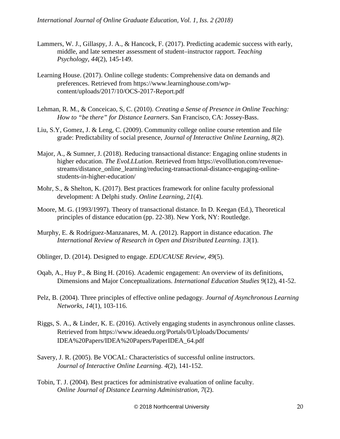- Lammers, W. J., Gillaspy, J. A., & Hancock, F. (2017). Predicting academic success with early, middle, and late semester assessment of student–instructor rapport. *Teaching Psychology*, *44*(2), 145-149.
- Learning House. (2017). Online college students: Comprehensive data on demands and preferences. Retrieved from https://www.learninghouse.com/wpcontent/uploads/2017/10/OCS-2017-Report.pdf
- Lehman, R. M., & Conceicao, S, C. (2010). *Creating a Sense of Presence in Online Teaching: How to "be there" for Distance Learners*. San Francisco, CA: Jossey-Bass.
- Liu, S.Y, Gomez, J. & Leng, C. (2009[\). Community college online course](http://online2.sdccd.edu/bblearntrain/2013_2014/Liu_Gomez_Yen_2009.pdf) [retention and file](http://online2.sdccd.edu/bblearntrain/2013_2014/Liu_Gomez_Yen_2009.pdf) [grade: Predictability of social presence,](http://online2.sdccd.edu/bblearntrain/2013_2014/Liu_Gomez_Yen_2009.pdf) *Journal of Interactive Online Learning*, *8*(2).
- Major, A., & Sumner, J. (2018). Reducing transactional distance: Engaging online students in higher education. *The EvoLLLution*. Retrieved from https://evolllution.com/revenuestreams/distance\_online\_learning/reducing-transactional-distance-engaging-onlinestudents-in-higher-education/
- Mohr, S., & Shelton, K. (2017). Best practices framework for online faculty professional development: A Delphi study. *Online Learning*, *21*(4).
- Moore, M. G. (1993/1997). Theory of transactional distance. In D. Keegan (Ed.), Theoretical principles of distance education (pp. 22-38). New York, NY: Routledge.
- Murphy, E. & Rodríguez-Manzanares, M. A. (2012). Rapport in distance education. *The International Review of Research in Open and Distributed Learning*. *13*(1).
- Oblinger, D. (2014). [Designed to engage.](http://www.educause.edu/ero/article/designed-engage) *EDUCAUSE Review*, *49*(5).
- Oqab, A., Huy P., & Bing H. (2016). Academic engagement: An overview of its definitions, Dimensions and Major Conceptualizations. *International Education Studies 9*(12), 41-52.
- Pelz, B. (2004). Three principles of effective online pedagogy*. Journal of Asynchronous Learning Networks*, *14*(1), 103-116.
- Riggs, S. A., & Linder, K. E. (2016). Actively engaging students in asynchronous online classes. Retrieved from https://www.ideaedu.org/Portals/0/Uploads/Documents/ IDEA%20Papers/IDEA%20Papers/PaperIDEA\_64.pdf
- Savery, J. R. (2005). Be VOCAL: Characteristics of successful online instructors. *Journal of Interactive Online Learning. 4*(2), 141-152.
- Tobin, T. J. (2004). Best practices for administrative evaluation of online faculty. *Online Journal of Distance Learning Administration, 7*(2).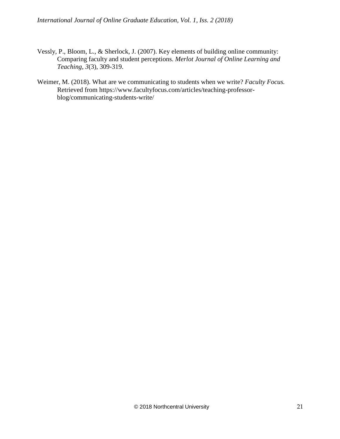*International Journal of Online Graduate Education, Vol. 1, Iss. 2 (2018)*

- Vessly, P., Bloom, L., & Sherlock, J. (2007). Key elements of building online community: Comparing faculty and student perceptions. *Merlot Journal of Online Learning and Teaching, 3*(3), 309-319.
- Weimer, M. (2018). What are we communicating to students when we write? *Faculty Focus.*  Retrieved from https://www.facultyfocus.com/articles/teaching-professorblog/communicating-students-write/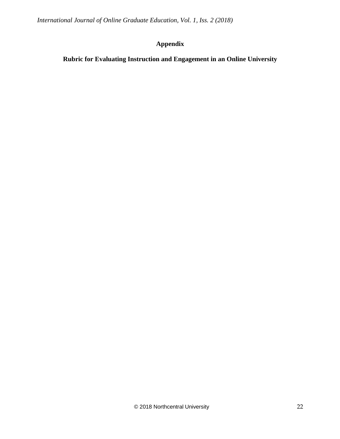*International Journal of Online Graduate Education, Vol. 1, Iss. 2 (2018)*

# **Appendix**

**Rubric for Evaluating Instruction and Engagement in an Online University**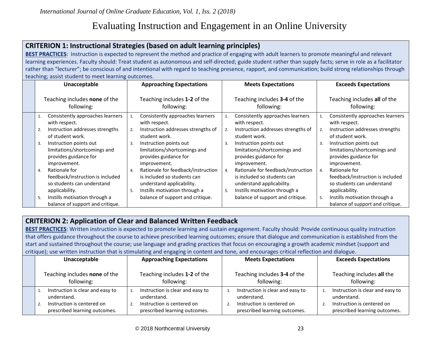# Evaluating Instruction and Engagement in an Online University

# **CRITERION 1: Instructional Strategies (based on adult learning principles)**

**BEST PRACTICES**: Instruction is expected to represent the method and practice of engaging with adult learners to promote meaningful and relevant learning experiences. Faculty should: Treat student as autonomous and self-directed; guide student rather than supply facts; serve in role as a facilitator rather than "lecturer"; be conscious of and intentional with regard to teaching presence, rapport, and communication; build strong relationships through teaching; assist student to meet learning outcomes.

| Unacceptable                                        | <b>Approaching Expectations</b>                           | <b>Meets Expectations</b>                                 | <b>Exceeds Expectations</b>                               |
|-----------------------------------------------------|-----------------------------------------------------------|-----------------------------------------------------------|-----------------------------------------------------------|
| Teaching includes none of the                       | Teaching includes 1-2 of the                              | Teaching includes 3-4 of the                              | Teaching includes all of the                              |
| following:                                          | following:                                                | following:                                                | following:                                                |
| Consistently approaches learners<br>with respect.   | Consistently approaches learners<br>with respect.         | Consistently approaches learners<br>1.<br>with respect.   | Consistently approaches learners<br>with respect.         |
| Instruction addresses strengths<br>of student work. | Instruction addresses strengths of<br>2.<br>student work. | Instruction addresses strengths of<br>2.<br>student work. | Instruction addresses strengths<br>2.<br>of student work. |
| Instruction points out                              | Instruction points out                                    | Instruction points out                                    | Instruction points out                                    |
| 3.                                                  | 3.                                                        | 3.                                                        | 3.                                                        |
| limitations/shortcomings and                        | limitations/shortcomings and                              | limitations/shortcomings and                              | limitations/shortcomings and                              |
| provides guidance for                               | provides guidance for                                     | provides guidance for                                     | provides guidance for                                     |
| improvement.                                        | improvement.                                              | improvement.                                              | improvement.                                              |
| Rationale for                                       | Rationale for feedback/instruction                        | Rationale for feedback/instruction                        | Rationale for                                             |
| 4.                                                  | 4.                                                        | 4.                                                        | 4.                                                        |
| feedback/instruction is included                    | is included so students can                               | is included so students can                               | feedback/instruction is included                          |
| so students can understand                          | understand applicability.                                 | understand applicability.                                 | so students can understand                                |
| applicability.                                      | Instills motivation through a                             | Instills motivation through a                             | applicability.                                            |
| Instills motivation through a                       | 5.                                                        | 5.                                                        | Instills motivation through a                             |
| 5.                                                  | balance of support and critique.                          | balance of support and critique.                          | 5.                                                        |
| balance of support and critique.                    |                                                           |                                                           |                                                           |

# **CRITERION 2: Application of Clear and Balanced Written Feedback**

**BEST PRACTICES**: Written instruction is expected to promote learning and sustain engagement. Faculty should: Provide continuous quality instruction that offers guidance throughout the course to achieve prescribed learning outcomes; ensure that dialogue and communication is established from the start and sustained throughout the course; use language and grading practices that focus on encouraging a growth academic mindset (support and critique); use written instruction that is stimulating and engaging in content and tone, and encourages critical reflection and dialogue.

| Unacceptable                                | <b>Approaching Expectations</b>            | <b>Meets Expectations</b>                  | <b>Exceeds Expectations</b>                    |
|---------------------------------------------|--------------------------------------------|--------------------------------------------|------------------------------------------------|
| Teaching includes none of the<br>following: | Teaching includes 1-2 of the<br>following: | Teaching includes 3-4 of the<br>following: | Teaching includes all the<br>following:        |
| Instruction is clear and easy to            | Instruction is clear and easy to           | Instruction is clear and easy to           | Instruction is clear and easy to               |
| understand.                                 | understand.                                | understand.                                | understand.                                    |
| Instruction is centered on                  | Instruction is centered on                 | Instruction is centered on                 | Instruction is centered on<br>$\overline{2}$ . |
| prescribed learning outcomes.               | prescribed learning outcomes.              | prescribed learning outcomes.              | prescribed learning outcomes.                  |